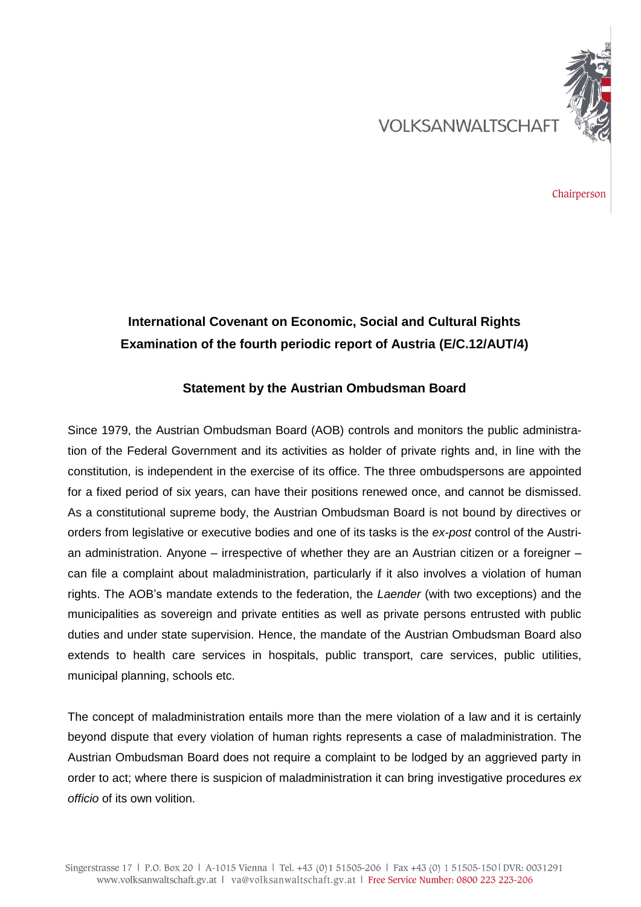



Chairperson

# **International Covenant on Economic, Social and Cultural Rights Examination of the fourth periodic report of Austria (E/C.12/AUT/4)**

## **Statement by the Austrian Ombudsman Board**

Since 1979, the Austrian Ombudsman Board (AOB) controls and monitors the public administration of the Federal Government and its activities as holder of private rights and, in line with the constitution, is independent in the exercise of its office. The three ombudspersons are appointed for a fixed period of six years, can have their positions renewed once, and cannot be dismissed. As a constitutional supreme body, the Austrian Ombudsman Board is not bound by directives or orders from legislative or executive bodies and one of its tasks is the *ex-post* control of the Austrian administration. Anyone – irrespective of whether they are an Austrian citizen or a foreigner – can file a complaint about maladministration, particularly if it also involves a violation of human rights. The AOB's mandate extends to the federation, the *Laender* (with two exceptions) and the municipalities as sovereign and private entities as well as private persons entrusted with public duties and under state supervision. Hence, the mandate of the Austrian Ombudsman Board also extends to health care services in hospitals, public transport, care services, public utilities, municipal planning, schools etc.

The concept of maladministration entails more than the mere violation of a law and it is certainly beyond dispute that every violation of human rights represents a case of maladministration. The Austrian Ombudsman Board does not require a complaint to be lodged by an aggrieved party in order to act; where there is suspicion of maladministration it can bring investigative procedures *ex officio* of its own volition.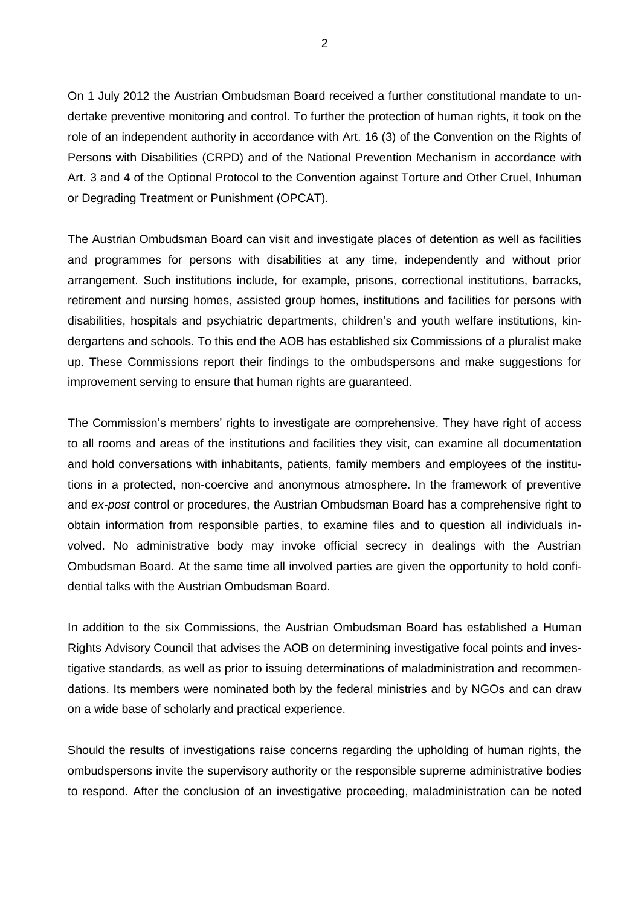On 1 July 2012 the Austrian Ombudsman Board received a further constitutional mandate to undertake preventive monitoring and control. To further the protection of human rights, it took on the role of an independent authority in accordance with Art. 16 (3) of the Convention on the Rights of Persons with Disabilities (CRPD) and of the National Prevention Mechanism in accordance with Art. 3 and 4 of the Optional Protocol to the Convention against Torture and Other Cruel, Inhuman or Degrading Treatment or Punishment (OPCAT).

The Austrian Ombudsman Board can visit and investigate places of detention as well as facilities and programmes for persons with disabilities at any time, independently and without prior arrangement. Such institutions include, for example, prisons, correctional institutions, barracks, retirement and nursing homes, assisted group homes, institutions and facilities for persons with disabilities, hospitals and psychiatric departments, children's and youth welfare institutions, kindergartens and schools. To this end the AOB has established six Commissions of a pluralist make up. These Commissions report their findings to the ombudspersons and make suggestions for improvement serving to ensure that human rights are guaranteed.

The Commission's members' rights to investigate are comprehensive. They have right of access to all rooms and areas of the institutions and facilities they visit, can examine all documentation and hold conversations with inhabitants, patients, family members and employees of the institutions in a protected, non-coercive and anonymous atmosphere. In the framework of preventive and *ex-post* control or procedures, the Austrian Ombudsman Board has a comprehensive right to obtain information from responsible parties, to examine files and to question all individuals involved. No administrative body may invoke official secrecy in dealings with the Austrian Ombudsman Board. At the same time all involved parties are given the opportunity to hold confidential talks with the Austrian Ombudsman Board.

In addition to the six Commissions, the Austrian Ombudsman Board has established a Human Rights Advisory Council that advises the AOB on determining investigative focal points and investigative standards, as well as prior to issuing determinations of maladministration and recommendations. Its members were nominated both by the federal ministries and by NGOs and can draw on a wide base of scholarly and practical experience.

Should the results of investigations raise concerns regarding the upholding of human rights, the ombudspersons invite the supervisory authority or the responsible supreme administrative bodies to respond. After the conclusion of an investigative proceeding, maladministration can be noted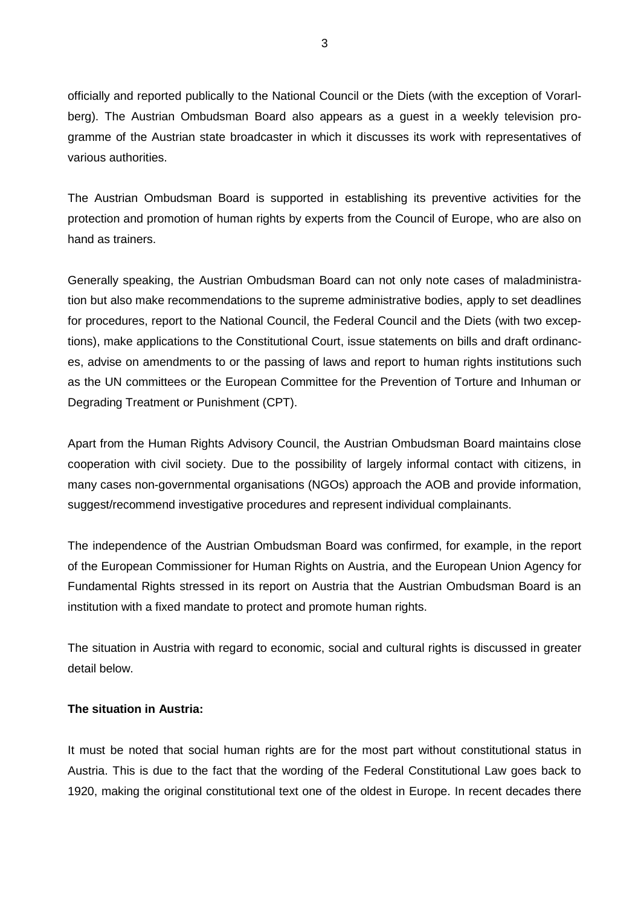officially and reported publically to the National Council or the Diets (with the exception of Vorarlberg). The Austrian Ombudsman Board also appears as a guest in a weekly television programme of the Austrian state broadcaster in which it discusses its work with representatives of various authorities.

The Austrian Ombudsman Board is supported in establishing its preventive activities for the protection and promotion of human rights by experts from the Council of Europe, who are also on hand as trainers.

Generally speaking, the Austrian Ombudsman Board can not only note cases of maladministration but also make recommendations to the supreme administrative bodies, apply to set deadlines for procedures, report to the National Council, the Federal Council and the Diets (with two exceptions), make applications to the Constitutional Court, issue statements on bills and draft ordinances, advise on amendments to or the passing of laws and report to human rights institutions such as the UN committees or the European Committee for the Prevention of Torture and Inhuman or Degrading Treatment or Punishment (CPT).

Apart from the Human Rights Advisory Council, the Austrian Ombudsman Board maintains close cooperation with civil society. Due to the possibility of largely informal contact with citizens, in many cases non-governmental organisations (NGOs) approach the AOB and provide information, suggest/recommend investigative procedures and represent individual complainants.

The independence of the Austrian Ombudsman Board was confirmed, for example, in the report of the European Commissioner for Human Rights on Austria, and the European Union Agency for Fundamental Rights stressed in its report on Austria that the Austrian Ombudsman Board is an institution with a fixed mandate to protect and promote human rights.

The situation in Austria with regard to economic, social and cultural rights is discussed in greater detail below.

## **The situation in Austria:**

It must be noted that social human rights are for the most part without constitutional status in Austria. This is due to the fact that the wording of the Federal Constitutional Law goes back to 1920, making the original constitutional text one of the oldest in Europe. In recent decades there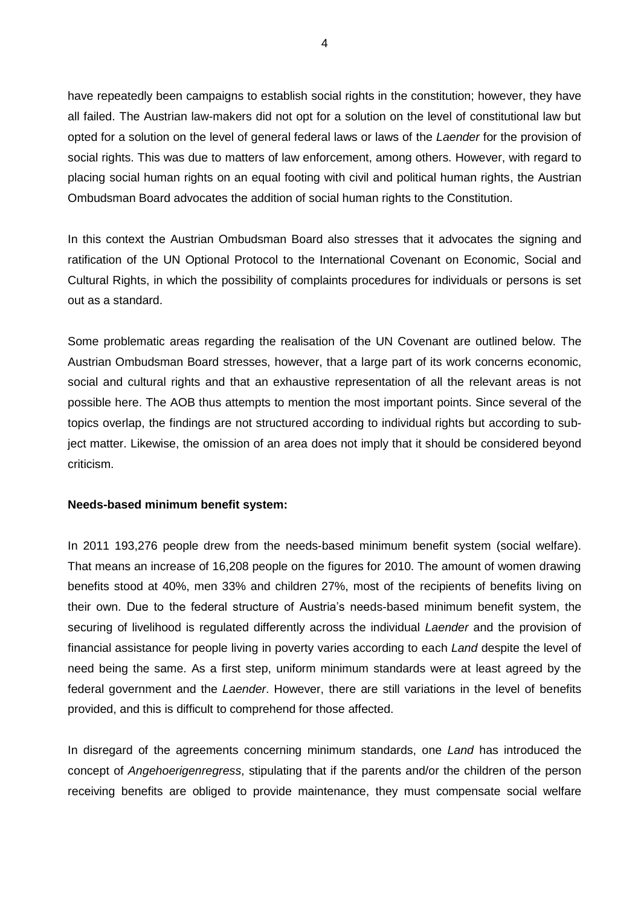have repeatedly been campaigns to establish social rights in the constitution; however, they have all failed. The Austrian law-makers did not opt for a solution on the level of constitutional law but opted for a solution on the level of general federal laws or laws of the *Laender* for the provision of social rights. This was due to matters of law enforcement, among others. However, with regard to placing social human rights on an equal footing with civil and political human rights, the Austrian Ombudsman Board advocates the addition of social human rights to the Constitution.

In this context the Austrian Ombudsman Board also stresses that it advocates the signing and ratification of the UN Optional Protocol to the International Covenant on Economic, Social and Cultural Rights, in which the possibility of complaints procedures for individuals or persons is set out as a standard.

Some problematic areas regarding the realisation of the UN Covenant are outlined below. The Austrian Ombudsman Board stresses, however, that a large part of its work concerns economic, social and cultural rights and that an exhaustive representation of all the relevant areas is not possible here. The AOB thus attempts to mention the most important points. Since several of the topics overlap, the findings are not structured according to individual rights but according to subject matter. Likewise, the omission of an area does not imply that it should be considered beyond criticism.

#### **Needs-based minimum benefit system:**

In 2011 193,276 people drew from the needs-based minimum benefit system (social welfare). That means an increase of 16,208 people on the figures for 2010. The amount of women drawing benefits stood at 40%, men 33% and children 27%, most of the recipients of benefits living on their own. Due to the federal structure of Austria's needs-based minimum benefit system, the securing of livelihood is regulated differently across the individual *Laender* and the provision of financial assistance for people living in poverty varies according to each *Land* despite the level of need being the same. As a first step, uniform minimum standards were at least agreed by the federal government and the *Laender*. However, there are still variations in the level of benefits provided, and this is difficult to comprehend for those affected.

In disregard of the agreements concerning minimum standards, one *Land* has introduced the concept of *Angehoerigenregress*, stipulating that if the parents and/or the children of the person receiving benefits are obliged to provide maintenance, they must compensate social welfare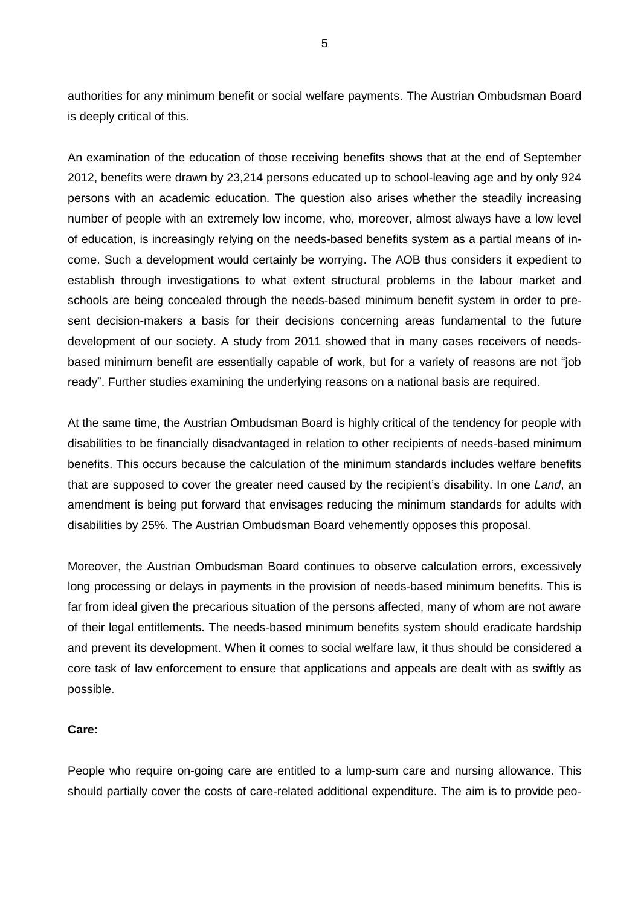authorities for any minimum benefit or social welfare payments. The Austrian Ombudsman Board is deeply critical of this.

An examination of the education of those receiving benefits shows that at the end of September 2012, benefits were drawn by 23,214 persons educated up to school-leaving age and by only 924 persons with an academic education. The question also arises whether the steadily increasing number of people with an extremely low income, who, moreover, almost always have a low level of education, is increasingly relying on the needs-based benefits system as a partial means of income. Such a development would certainly be worrying. The AOB thus considers it expedient to establish through investigations to what extent structural problems in the labour market and schools are being concealed through the needs-based minimum benefit system in order to present decision-makers a basis for their decisions concerning areas fundamental to the future development of our society. A study from 2011 showed that in many cases receivers of needsbased minimum benefit are essentially capable of work, but for a variety of reasons are not "job ready". Further studies examining the underlying reasons on a national basis are required.

At the same time, the Austrian Ombudsman Board is highly critical of the tendency for people with disabilities to be financially disadvantaged in relation to other recipients of needs-based minimum benefits. This occurs because the calculation of the minimum standards includes welfare benefits that are supposed to cover the greater need caused by the recipient's disability. In one *Land*, an amendment is being put forward that envisages reducing the minimum standards for adults with disabilities by 25%. The Austrian Ombudsman Board vehemently opposes this proposal.

Moreover, the Austrian Ombudsman Board continues to observe calculation errors, excessively long processing or delays in payments in the provision of needs-based minimum benefits. This is far from ideal given the precarious situation of the persons affected, many of whom are not aware of their legal entitlements. The needs-based minimum benefits system should eradicate hardship and prevent its development. When it comes to social welfare law, it thus should be considered a core task of law enforcement to ensure that applications and appeals are dealt with as swiftly as possible.

#### **Care:**

People who require on-going care are entitled to a lump-sum care and nursing allowance. This should partially cover the costs of care-related additional expenditure. The aim is to provide peo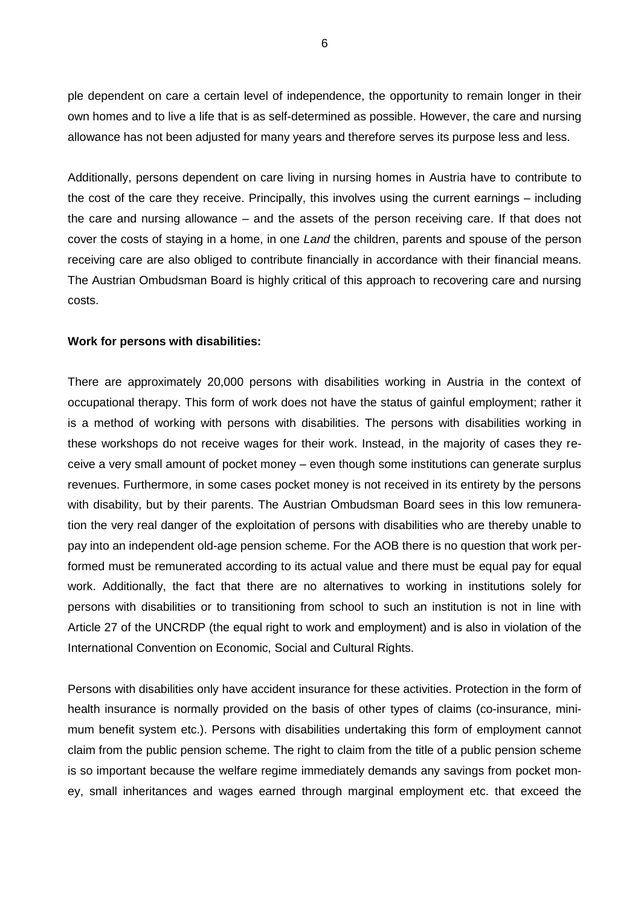ple dependent on care a certain level of independence, the opportunity to remain longer in their own homes and to live a life that is as self-determined as possible. However, the care and nursing allowance has not been adjusted for many years and therefore serves its purpose less and less.

Additionally, persons dependent on care living in nursing homes in Austria have to contribute to the cost of the care they receive. Principally, this involves using the current earnings – including the care and nursing allowance – and the assets of the person receiving care. If that does not cover the costs of staying in a home, in one *Land* the children, parents and spouse of the person receiving care are also obliged to contribute financially in accordance with their financial means. The Austrian Ombudsman Board is highly critical of this approach to recovering care and nursing costs.

#### **Work for persons with disabilities:**

There are approximately 20,000 persons with disabilities working in Austria in the context of occupational therapy. This form of work does not have the status of gainful employment; rather it is a method of working with persons with disabilities. The persons with disabilities working in these workshops do not receive wages for their work. Instead, in the majority of cases they receive a very small amount of pocket money – even though some institutions can generate surplus revenues. Furthermore, in some cases pocket money is not received in its entirety by the persons with disability, but by their parents. The Austrian Ombudsman Board sees in this low remuneration the very real danger of the exploitation of persons with disabilities who are thereby unable to pay into an independent old-age pension scheme. For the AOB there is no question that work performed must be remunerated according to its actual value and there must be equal pay for equal work. Additionally, the fact that there are no alternatives to working in institutions solely for persons with disabilities or to transitioning from school to such an institution is not in line with Article 27 of the UNCRDP (the equal right to work and employment) and is also in violation of the International Convention on Economic, Social and Cultural Rights.

Persons with disabilities only have accident insurance for these activities. Protection in the form of health insurance is normally provided on the basis of other types of claims (co-insurance, minimum benefit system etc.). Persons with disabilities undertaking this form of employment cannot claim from the public pension scheme. The right to claim from the title of a public pension scheme is so important because the welfare regime immediately demands any savings from pocket money, small inheritances and wages earned through marginal employment etc. that exceed the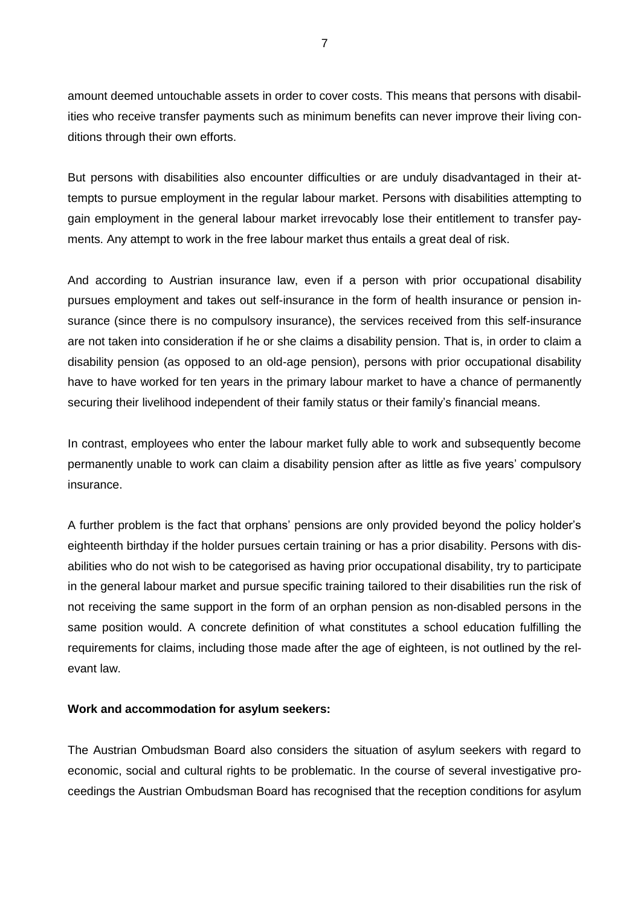amount deemed untouchable assets in order to cover costs. This means that persons with disabilities who receive transfer payments such as minimum benefits can never improve their living conditions through their own efforts.

But persons with disabilities also encounter difficulties or are unduly disadvantaged in their attempts to pursue employment in the regular labour market. Persons with disabilities attempting to gain employment in the general labour market irrevocably lose their entitlement to transfer payments. Any attempt to work in the free labour market thus entails a great deal of risk.

And according to Austrian insurance law, even if a person with prior occupational disability pursues employment and takes out self-insurance in the form of health insurance or pension insurance (since there is no compulsory insurance), the services received from this self-insurance are not taken into consideration if he or she claims a disability pension. That is, in order to claim a disability pension (as opposed to an old-age pension), persons with prior occupational disability have to have worked for ten years in the primary labour market to have a chance of permanently securing their livelihood independent of their family status or their family's financial means.

In contrast, employees who enter the labour market fully able to work and subsequently become permanently unable to work can claim a disability pension after as little as five years' compulsory insurance.

A further problem is the fact that orphans' pensions are only provided beyond the policy holder's eighteenth birthday if the holder pursues certain training or has a prior disability. Persons with disabilities who do not wish to be categorised as having prior occupational disability, try to participate in the general labour market and pursue specific training tailored to their disabilities run the risk of not receiving the same support in the form of an orphan pension as non-disabled persons in the same position would. A concrete definition of what constitutes a school education fulfilling the requirements for claims, including those made after the age of eighteen, is not outlined by the relevant law.

#### **Work and accommodation for asylum seekers:**

The Austrian Ombudsman Board also considers the situation of asylum seekers with regard to economic, social and cultural rights to be problematic. In the course of several investigative proceedings the Austrian Ombudsman Board has recognised that the reception conditions for asylum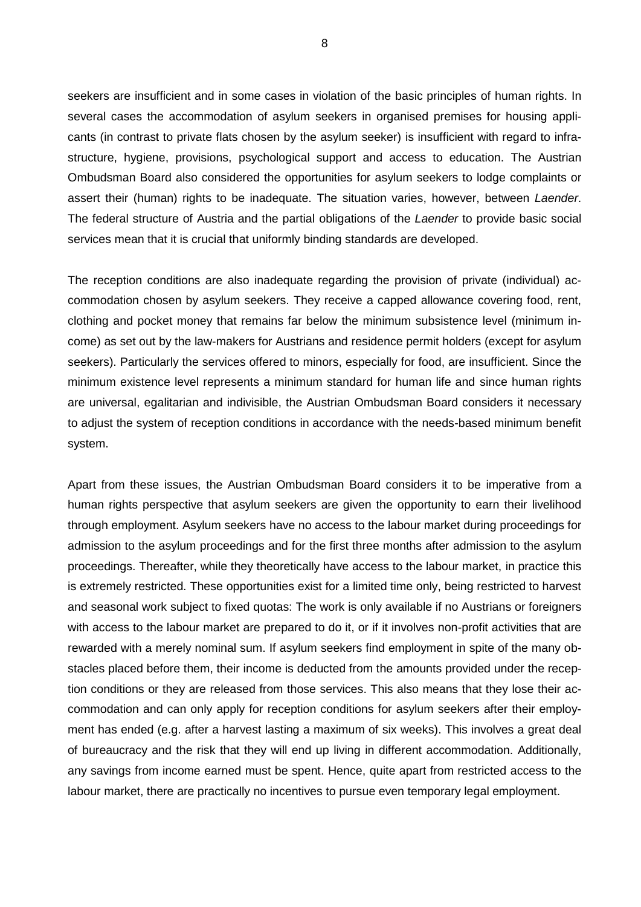seekers are insufficient and in some cases in violation of the basic principles of human rights. In several cases the accommodation of asylum seekers in organised premises for housing applicants (in contrast to private flats chosen by the asylum seeker) is insufficient with regard to infrastructure, hygiene, provisions, psychological support and access to education. The Austrian Ombudsman Board also considered the opportunities for asylum seekers to lodge complaints or assert their (human) rights to be inadequate. The situation varies, however, between *Laender*. The federal structure of Austria and the partial obligations of the *Laender* to provide basic social services mean that it is crucial that uniformly binding standards are developed.

The reception conditions are also inadequate regarding the provision of private (individual) accommodation chosen by asylum seekers. They receive a capped allowance covering food, rent, clothing and pocket money that remains far below the minimum subsistence level (minimum income) as set out by the law-makers for Austrians and residence permit holders (except for asylum seekers). Particularly the services offered to minors, especially for food, are insufficient. Since the minimum existence level represents a minimum standard for human life and since human rights are universal, egalitarian and indivisible, the Austrian Ombudsman Board considers it necessary to adjust the system of reception conditions in accordance with the needs-based minimum benefit system.

Apart from these issues, the Austrian Ombudsman Board considers it to be imperative from a human rights perspective that asylum seekers are given the opportunity to earn their livelihood through employment. Asylum seekers have no access to the labour market during proceedings for admission to the asylum proceedings and for the first three months after admission to the asylum proceedings. Thereafter, while they theoretically have access to the labour market, in practice this is extremely restricted. These opportunities exist for a limited time only, being restricted to harvest and seasonal work subject to fixed quotas: The work is only available if no Austrians or foreigners with access to the labour market are prepared to do it, or if it involves non-profit activities that are rewarded with a merely nominal sum. If asylum seekers find employment in spite of the many obstacles placed before them, their income is deducted from the amounts provided under the reception conditions or they are released from those services. This also means that they lose their accommodation and can only apply for reception conditions for asylum seekers after their employment has ended (e.g. after a harvest lasting a maximum of six weeks). This involves a great deal of bureaucracy and the risk that they will end up living in different accommodation. Additionally, any savings from income earned must be spent. Hence, quite apart from restricted access to the labour market, there are practically no incentives to pursue even temporary legal employment.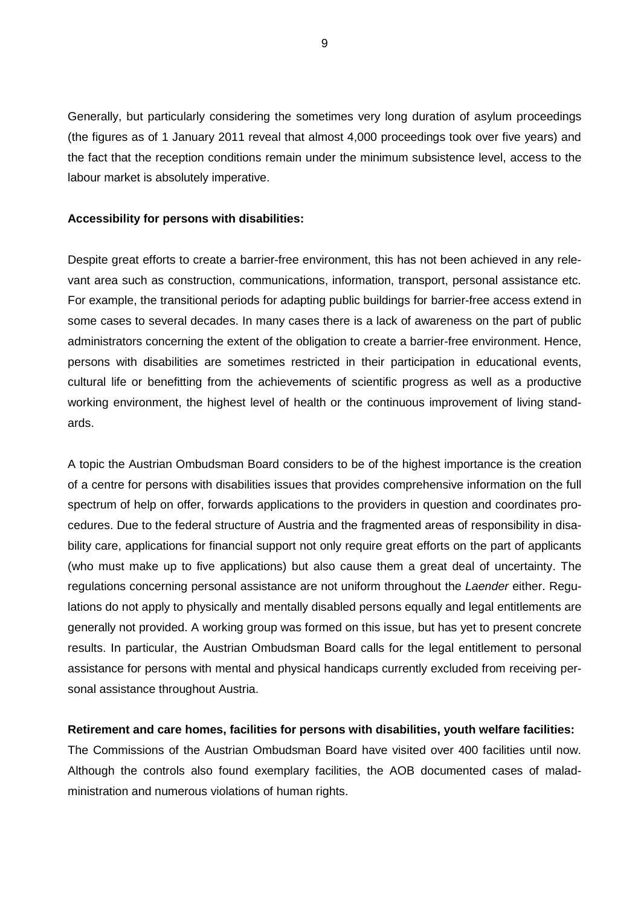Generally, but particularly considering the sometimes very long duration of asylum proceedings (the figures as of 1 January 2011 reveal that almost 4,000 proceedings took over five years) and the fact that the reception conditions remain under the minimum subsistence level, access to the labour market is absolutely imperative.

#### **Accessibility for persons with disabilities:**

Despite great efforts to create a barrier-free environment, this has not been achieved in any relevant area such as construction, communications, information, transport, personal assistance etc. For example, the transitional periods for adapting public buildings for barrier-free access extend in some cases to several decades. In many cases there is a lack of awareness on the part of public administrators concerning the extent of the obligation to create a barrier-free environment. Hence, persons with disabilities are sometimes restricted in their participation in educational events, cultural life or benefitting from the achievements of scientific progress as well as a productive working environment, the highest level of health or the continuous improvement of living standards.

A topic the Austrian Ombudsman Board considers to be of the highest importance is the creation of a centre for persons with disabilities issues that provides comprehensive information on the full spectrum of help on offer, forwards applications to the providers in question and coordinates procedures. Due to the federal structure of Austria and the fragmented areas of responsibility in disability care, applications for financial support not only require great efforts on the part of applicants (who must make up to five applications) but also cause them a great deal of uncertainty. The regulations concerning personal assistance are not uniform throughout the *Laender* either. Regulations do not apply to physically and mentally disabled persons equally and legal entitlements are generally not provided. A working group was formed on this issue, but has yet to present concrete results. In particular, the Austrian Ombudsman Board calls for the legal entitlement to personal assistance for persons with mental and physical handicaps currently excluded from receiving personal assistance throughout Austria.

#### **Retirement and care homes, facilities for persons with disabilities, youth welfare facilities:**

The Commissions of the Austrian Ombudsman Board have visited over 400 facilities until now. Although the controls also found exemplary facilities, the AOB documented cases of maladministration and numerous violations of human rights.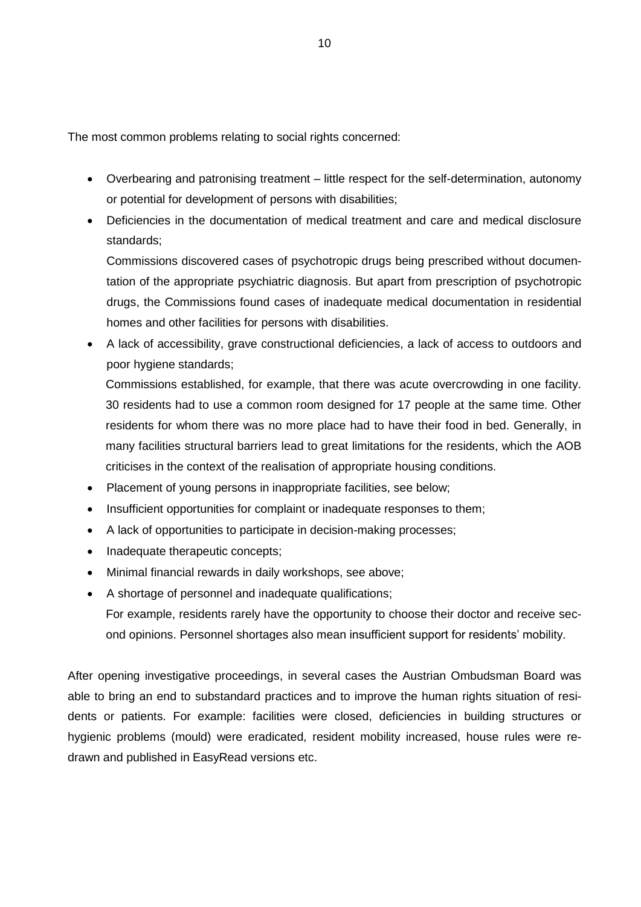The most common problems relating to social rights concerned:

- Overbearing and patronising treatment little respect for the self-determination, autonomy or potential for development of persons with disabilities;
- Deficiencies in the documentation of medical treatment and care and medical disclosure standards;

Commissions discovered cases of psychotropic drugs being prescribed without documentation of the appropriate psychiatric diagnosis. But apart from prescription of psychotropic drugs, the Commissions found cases of inadequate medical documentation in residential homes and other facilities for persons with disabilities.

 A lack of accessibility, grave constructional deficiencies, a lack of access to outdoors and poor hygiene standards;

Commissions established, for example, that there was acute overcrowding in one facility. 30 residents had to use a common room designed for 17 people at the same time. Other residents for whom there was no more place had to have their food in bed. Generally, in many facilities structural barriers lead to great limitations for the residents, which the AOB criticises in the context of the realisation of appropriate housing conditions.

- Placement of young persons in inappropriate facilities, see below;
- Insufficient opportunities for complaint or inadequate responses to them;
- A lack of opportunities to participate in decision-making processes;
- Inadequate therapeutic concepts;
- Minimal financial rewards in daily workshops, see above;
- A shortage of personnel and inadequate qualifications;
	- For example, residents rarely have the opportunity to choose their doctor and receive second opinions. Personnel shortages also mean insufficient support for residents' mobility.

After opening investigative proceedings, in several cases the Austrian Ombudsman Board was able to bring an end to substandard practices and to improve the human rights situation of residents or patients. For example: facilities were closed, deficiencies in building structures or hygienic problems (mould) were eradicated, resident mobility increased, house rules were redrawn and published in EasyRead versions etc.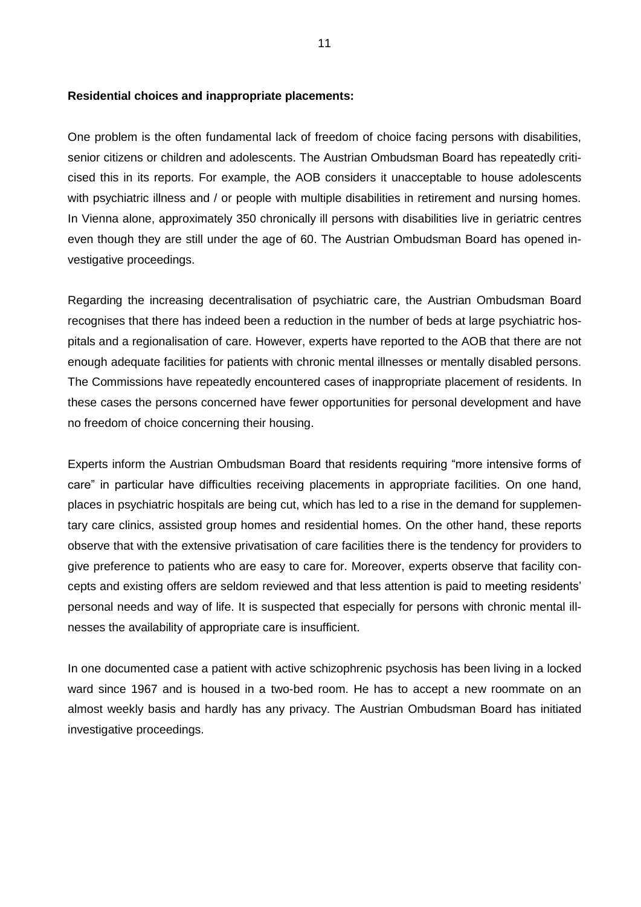#### **Residential choices and inappropriate placements:**

One problem is the often fundamental lack of freedom of choice facing persons with disabilities, senior citizens or children and adolescents. The Austrian Ombudsman Board has repeatedly criticised this in its reports. For example, the AOB considers it unacceptable to house adolescents with psychiatric illness and / or people with multiple disabilities in retirement and nursing homes. In Vienna alone, approximately 350 chronically ill persons with disabilities live in geriatric centres even though they are still under the age of 60. The Austrian Ombudsman Board has opened investigative proceedings.

Regarding the increasing decentralisation of psychiatric care, the Austrian Ombudsman Board recognises that there has indeed been a reduction in the number of beds at large psychiatric hospitals and a regionalisation of care. However, experts have reported to the AOB that there are not enough adequate facilities for patients with chronic mental illnesses or mentally disabled persons. The Commissions have repeatedly encountered cases of inappropriate placement of residents. In these cases the persons concerned have fewer opportunities for personal development and have no freedom of choice concerning their housing.

Experts inform the Austrian Ombudsman Board that residents requiring "more intensive forms of care" in particular have difficulties receiving placements in appropriate facilities. On one hand, places in psychiatric hospitals are being cut, which has led to a rise in the demand for supplementary care clinics, assisted group homes and residential homes. On the other hand, these reports observe that with the extensive privatisation of care facilities there is the tendency for providers to give preference to patients who are easy to care for. Moreover, experts observe that facility concepts and existing offers are seldom reviewed and that less attention is paid to meeting residents' personal needs and way of life. It is suspected that especially for persons with chronic mental illnesses the availability of appropriate care is insufficient.

In one documented case a patient with active schizophrenic psychosis has been living in a locked ward since 1967 and is housed in a two-bed room. He has to accept a new roommate on an almost weekly basis and hardly has any privacy. The Austrian Ombudsman Board has initiated investigative proceedings.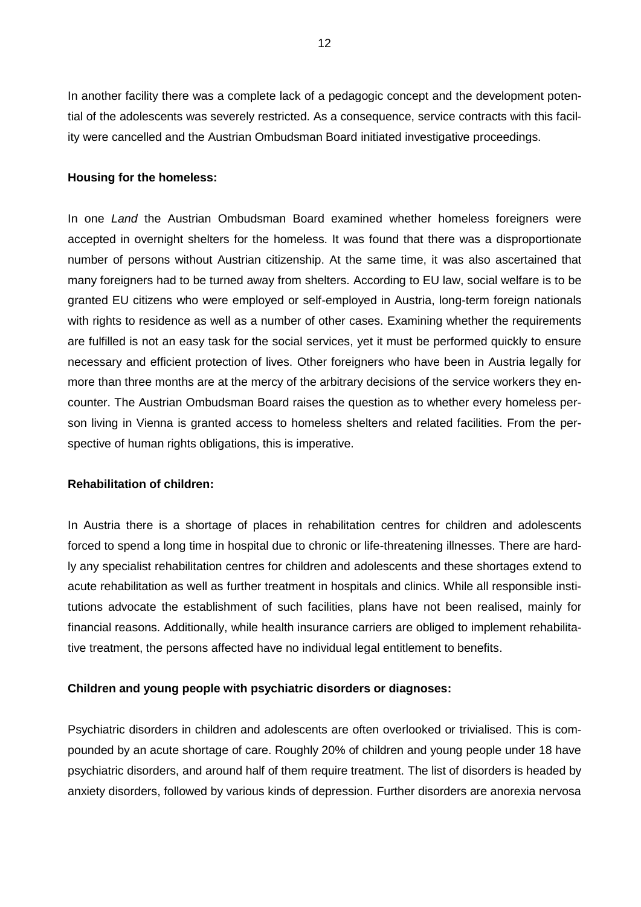In another facility there was a complete lack of a pedagogic concept and the development potential of the adolescents was severely restricted. As a consequence, service contracts with this facility were cancelled and the Austrian Ombudsman Board initiated investigative proceedings.

### **Housing for the homeless:**

In one *Land* the Austrian Ombudsman Board examined whether homeless foreigners were accepted in overnight shelters for the homeless. It was found that there was a disproportionate number of persons without Austrian citizenship. At the same time, it was also ascertained that many foreigners had to be turned away from shelters. According to EU law, social welfare is to be granted EU citizens who were employed or self-employed in Austria, long-term foreign nationals with rights to residence as well as a number of other cases. Examining whether the requirements are fulfilled is not an easy task for the social services, yet it must be performed quickly to ensure necessary and efficient protection of lives. Other foreigners who have been in Austria legally for more than three months are at the mercy of the arbitrary decisions of the service workers they encounter. The Austrian Ombudsman Board raises the question as to whether every homeless person living in Vienna is granted access to homeless shelters and related facilities. From the perspective of human rights obligations, this is imperative.

## **Rehabilitation of children:**

In Austria there is a shortage of places in rehabilitation centres for children and adolescents forced to spend a long time in hospital due to chronic or life-threatening illnesses. There are hardly any specialist rehabilitation centres for children and adolescents and these shortages extend to acute rehabilitation as well as further treatment in hospitals and clinics. While all responsible institutions advocate the establishment of such facilities, plans have not been realised, mainly for financial reasons. Additionally, while health insurance carriers are obliged to implement rehabilitative treatment, the persons affected have no individual legal entitlement to benefits.

## **Children and young people with psychiatric disorders or diagnoses:**

Psychiatric disorders in children and adolescents are often overlooked or trivialised. This is compounded by an acute shortage of care. Roughly 20% of children and young people under 18 have psychiatric disorders, and around half of them require treatment. The list of disorders is headed by anxiety disorders, followed by various kinds of depression. Further disorders are anorexia nervosa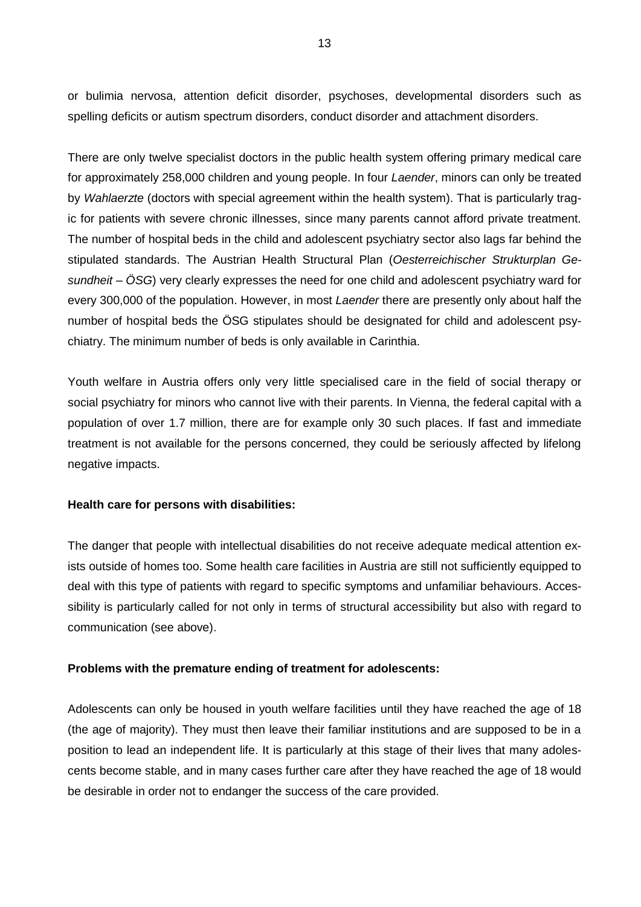or bulimia nervosa, attention deficit disorder, psychoses, developmental disorders such as spelling deficits or autism spectrum disorders, conduct disorder and attachment disorders.

There are only twelve specialist doctors in the public health system offering primary medical care for approximately 258,000 children and young people. In four *Laender*, minors can only be treated by *Wahlaerzte* (doctors with special agreement within the health system). That is particularly tragic for patients with severe chronic illnesses, since many parents cannot afford private treatment. The number of hospital beds in the child and adolescent psychiatry sector also lags far behind the stipulated standards. The Austrian Health Structural Plan (*Oesterreichischer Strukturplan Gesundheit* – *ÖSG*) very clearly expresses the need for one child and adolescent psychiatry ward for every 300,000 of the population. However, in most *Laender* there are presently only about half the number of hospital beds the ÖSG stipulates should be designated for child and adolescent psychiatry. The minimum number of beds is only available in Carinthia.

Youth welfare in Austria offers only very little specialised care in the field of social therapy or social psychiatry for minors who cannot live with their parents. In Vienna, the federal capital with a population of over 1.7 million, there are for example only 30 such places. If fast and immediate treatment is not available for the persons concerned, they could be seriously affected by lifelong negative impacts.

## **Health care for persons with disabilities:**

The danger that people with intellectual disabilities do not receive adequate medical attention exists outside of homes too. Some health care facilities in Austria are still not sufficiently equipped to deal with this type of patients with regard to specific symptoms and unfamiliar behaviours. Accessibility is particularly called for not only in terms of structural accessibility but also with regard to communication (see above).

## **Problems with the premature ending of treatment for adolescents:**

Adolescents can only be housed in youth welfare facilities until they have reached the age of 18 (the age of majority). They must then leave their familiar institutions and are supposed to be in a position to lead an independent life. It is particularly at this stage of their lives that many adolescents become stable, and in many cases further care after they have reached the age of 18 would be desirable in order not to endanger the success of the care provided.